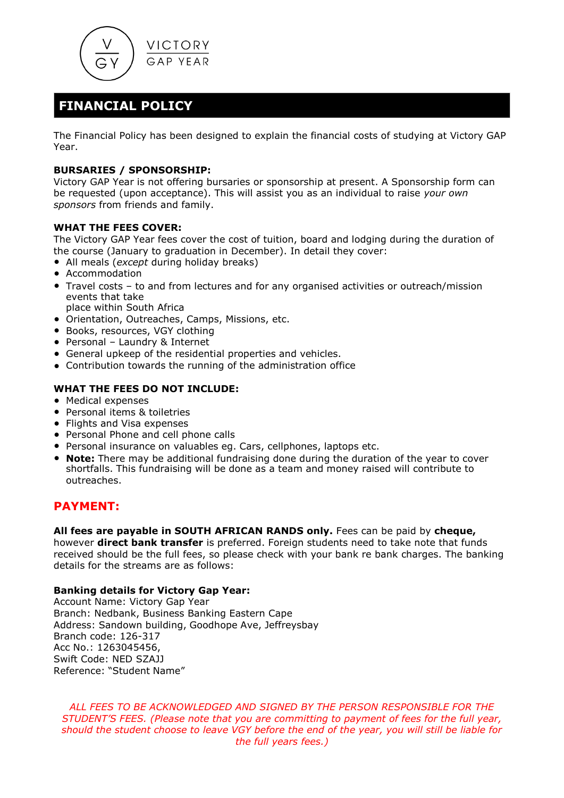

## **FINANCIAL POLICY**

The Financial Policy has been designed to explain the financial costs of studying at Victory GAP Year.

### **BURSARIES / SPONSORSHIP:**

Victory GAP Year is not offering bursaries or sponsorship at present. A Sponsorship form can be requested (upon acceptance). This will assist you as an individual to raise *your own sponsors* from friends and family.

### **WHAT THE FEES COVER:**

The Victory GAP Year fees cover the cost of tuition, board and lodging during the duration of the course (January to graduation in December). In detail they cover:

- All meals (*except* during holiday breaks)
- Accommodation
- Travel costs to and from lectures and for any organised activities or outreach/mission events that take
	- place within South Africa
- Orientation, Outreaches, Camps, Missions, etc.
- Books, resources, VGY clothing
- Personal Laundry & Internet
- General upkeep of the residential properties and vehicles.
- Contribution towards the running of the administration office

### **WHAT THE FEES DO NOT INCLUDE:**

- Medical expenses
- Personal items & toiletries
- Flights and Visa expenses
- Personal Phone and cell phone calls
- Personal insurance on valuables eg. Cars, cellphones, laptops etc.
- **Note:** There may be additional fundraising done during the duration of the year to cover shortfalls. This fundraising will be done as a team and money raised will contribute to outreaches.

### **PAYMENT:**

**All fees are payable in SOUTH AFRICAN RANDS only.** Fees can be paid by **cheque,** however **direct bank transfer** is preferred. Foreign students need to take note that funds received should be the full fees, so please check with your bank re bank charges. The banking details for the streams are as follows:

#### **Banking details for Victory Gap Year:**

Account Name: Victory Gap Year Branch: Nedbank, Business Banking Eastern Cape Address: Sandown building, Goodhope Ave, Jeffreysbay Branch code: 126-317 Acc No.: 1263045456, Swift Code: NED SZAJJ Reference: "Student Name"

*ALL FEES TO BE ACKNOWLEDGED AND SIGNED BY THE PERSON RESPONSIBLE FOR THE STUDENT'S FEES. (Please note that you are committing to payment of fees for the full year, should the student choose to leave VGY before the end of the year, you will still be liable for the full years fees.)*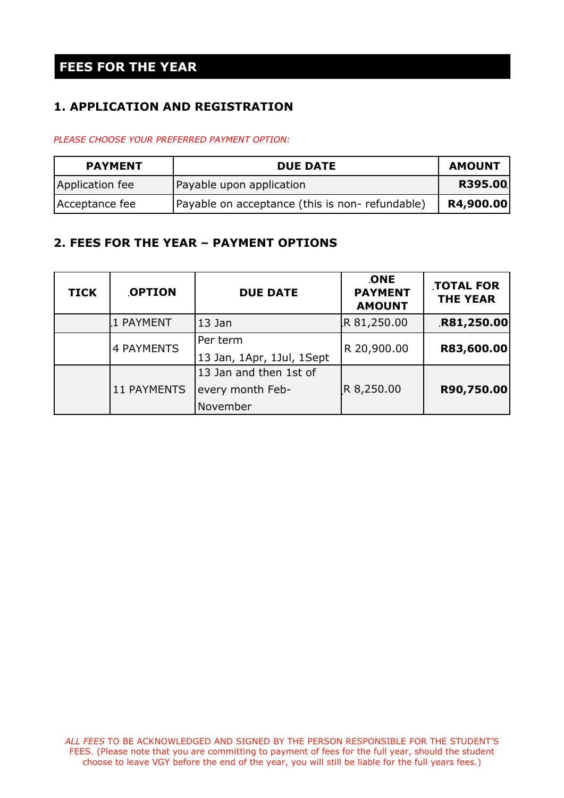## **FEES FOR THE YEAR**

## **1. APPLICATION AND REGISTRATION**

*PLEASE CHOOSE YOUR PREFERRED PAYMENT OPTION:*

| <b>PAYMENT</b>  | <b>DUE DATE</b>                                | <b>AMOUNT</b> |
|-----------------|------------------------------------------------|---------------|
| Application fee | Payable upon application                       | R395.00       |
| Acceptance fee  | Payable on acceptance (this is non-refundable) | R4,900.00     |

### **2. FEES FOR THE YEAR – PAYMENT OPTIONS**

| <b>TICK</b> | <b>OPTION</b>      | <b>DUE DATE</b>                                        | <b>ONE</b><br><b>PAYMENT</b><br><b>AMOUNT</b> | <b>TOTAL FOR</b><br><b>THE YEAR</b> |
|-------------|--------------------|--------------------------------------------------------|-----------------------------------------------|-------------------------------------|
|             | 1 PAYMENT          | 13 Jan                                                 | R 81,250.00                                   | R81,250.00                          |
|             | 4 PAYMENTS         | Per term<br>13 Jan, 1Apr, 1Jul, 1Sept                  | R 20,900.00                                   | R83,600.00                          |
|             | <b>11 PAYMENTS</b> | 13 Jan and then 1st of<br>every month Feb-<br>November | R 8,250.00                                    | R90,750.00                          |

*ALL FEES* TO BE ACKNOWLEDGED AND SIGNED BY THE PERSON RESPONSIBLE FOR THE STUDENT'S FEES. (Please note that you are committing to payment of fees for the full year, should the student choose to leave VGY before the end of the year, you will still be liable for the full years fees.)